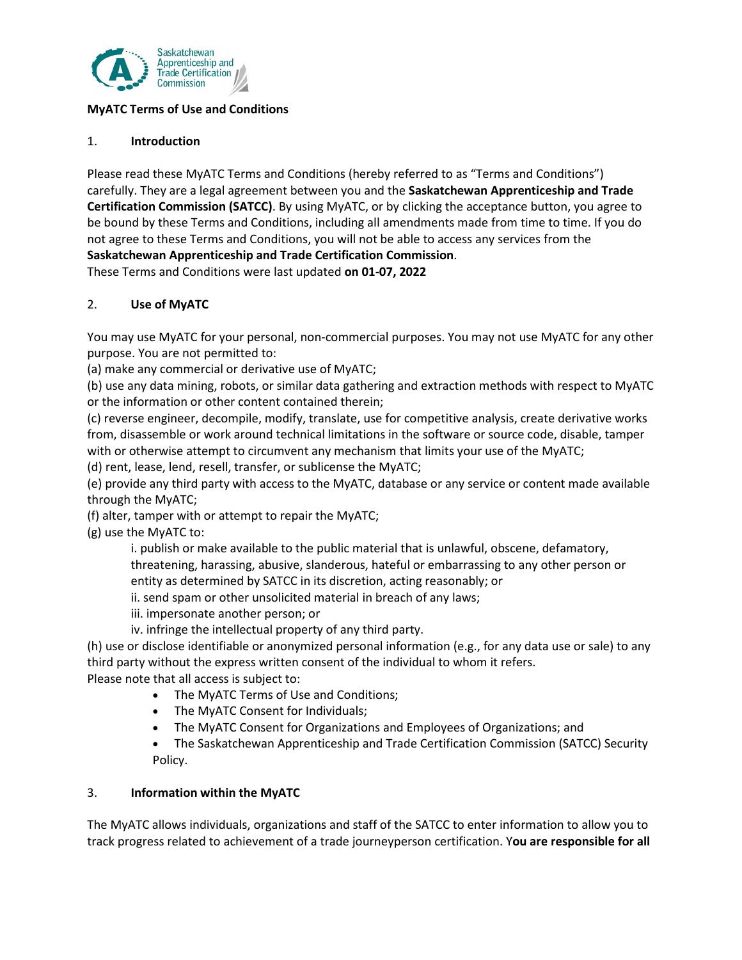

### **MyATC Terms of Use and Conditions**

### 1. **Introduction**

Please read these MyATC Terms and Conditions (hereby referred to as "Terms and Conditions") carefully. They are a legal agreement between you and the **Saskatchewan Apprenticeship and Trade Certification Commission (SATCC)**. By using MyATC, or by clicking the acceptance button, you agree to be bound by these Terms and Conditions, including all amendments made from time to time. If you do not agree to these Terms and Conditions, you will not be able to access any services from the **Saskatchewan Apprenticeship and Trade Certification Commission**.

These Terms and Conditions were last updated **on 01-07, 2022**

### 2. **Use of MyATC**

You may use MyATC for your personal, non-commercial purposes. You may not use MyATC for any other purpose. You are not permitted to:

(a) make any commercial or derivative use of MyATC;

(b) use any data mining, robots, or similar data gathering and extraction methods with respect to MyATC or the information or other content contained therein;

(c) reverse engineer, decompile, modify, translate, use for competitive analysis, create derivative works from, disassemble or work around technical limitations in the software or source code, disable, tamper with or otherwise attempt to circumvent any mechanism that limits your use of the MyATC;

(d) rent, lease, lend, resell, transfer, or sublicense the MyATC;

(e) provide any third party with access to the MyATC, database or any service or content made available through the MyATC;

(f) alter, tamper with or attempt to repair the MyATC;

(g) use the MyATC to:

i. publish or make available to the public material that is unlawful, obscene, defamatory, threatening, harassing, abusive, slanderous, hateful or embarrassing to any other person or entity as determined by SATCC in its discretion, acting reasonably; or

ii. send spam or other unsolicited material in breach of any laws;

iii. impersonate another person; or

iv. infringe the intellectual property of any third party.

(h) use or disclose identifiable or anonymized personal information (e.g., for any data use or sale) to any third party without the express written consent of the individual to whom it refers.

Please note that all access is subject to:

- The MyATC Terms of Use and Conditions;
- The MyATC Consent for Individuals;
- The MyATC Consent for Organizations and Employees of Organizations; and
- The Saskatchewan Apprenticeship and Trade Certification Commission (SATCC) Security Policy.

#### 3. **Information within the MyATC**

The MyATC allows individuals, organizations and staff of the SATCC to enter information to allow you to track progress related to achievement of a trade journeyperson certification. Y**ou are responsible for all**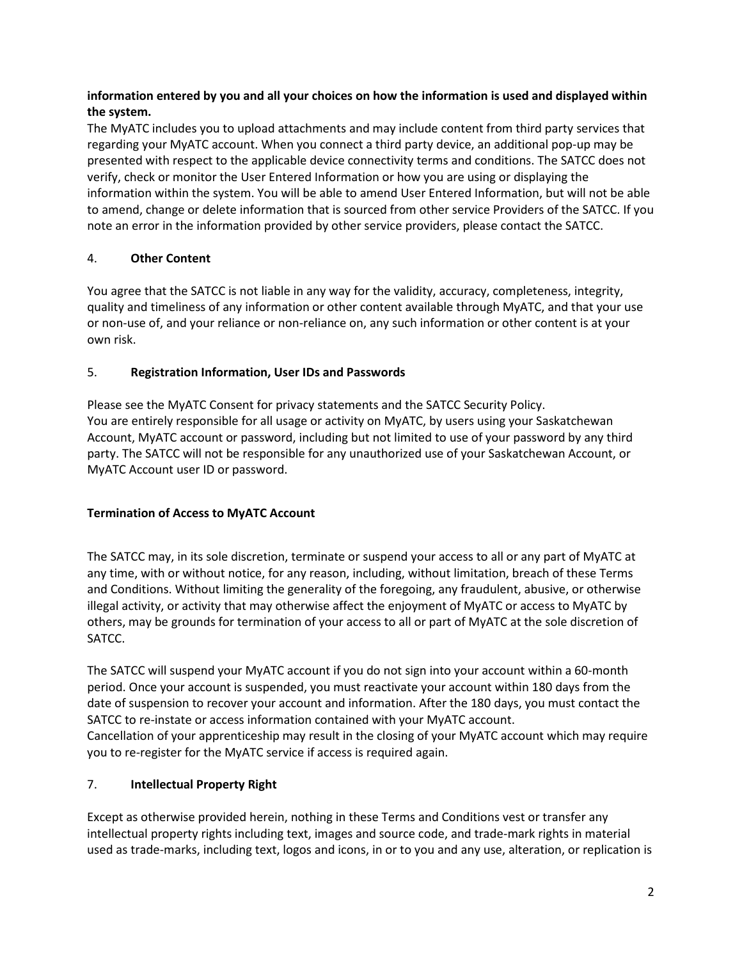## **information entered by you and all your choices on how the information is used and displayed within the system.**

The MyATC includes you to upload attachments and may include content from third party services that regarding your MyATC account. When you connect a third party device, an additional pop-up may be presented with respect to the applicable device connectivity terms and conditions. The SATCC does not verify, check or monitor the User Entered Information or how you are using or displaying the information within the system. You will be able to amend User Entered Information, but will not be able to amend, change or delete information that is sourced from other service Providers of the SATCC. If you note an error in the information provided by other service providers, please contact the SATCC.

# 4. **Other Content**

You agree that the SATCC is not liable in any way for the validity, accuracy, completeness, integrity, quality and timeliness of any information or other content available through MyATC, and that your use or non-use of, and your reliance or non-reliance on, any such information or other content is at your own risk.

## 5. **Registration Information, User IDs and Passwords**

Please see the MyATC Consent for privacy statements and the SATCC Security Policy. You are entirely responsible for all usage or activity on MyATC, by users using your Saskatchewan Account, MyATC account or password, including but not limited to use of your password by any third party. The SATCC will not be responsible for any unauthorized use of your Saskatchewan Account, or MyATC Account user ID or password.

## **Termination of Access to MyATC Account**

The SATCC may, in its sole discretion, terminate or suspend your access to all or any part of MyATC at any time, with or without notice, for any reason, including, without limitation, breach of these Terms and Conditions. Without limiting the generality of the foregoing, any fraudulent, abusive, or otherwise illegal activity, or activity that may otherwise affect the enjoyment of MyATC or access to MyATC by others, may be grounds for termination of your access to all or part of MyATC at the sole discretion of SATCC.

The SATCC will suspend your MyATC account if you do not sign into your account within a 60-month period. Once your account is suspended, you must reactivate your account within 180 days from the date of suspension to recover your account and information. After the 180 days, you must contact the SATCC to re-instate or access information contained with your MyATC account. Cancellation of your apprenticeship may result in the closing of your MyATC account which may require you to re-register for the MyATC service if access is required again.

## 7. **Intellectual Property Right**

Except as otherwise provided herein, nothing in these Terms and Conditions vest or transfer any intellectual property rights including text, images and source code, and trade-mark rights in material used as trade-marks, including text, logos and icons, in or to you and any use, alteration, or replication is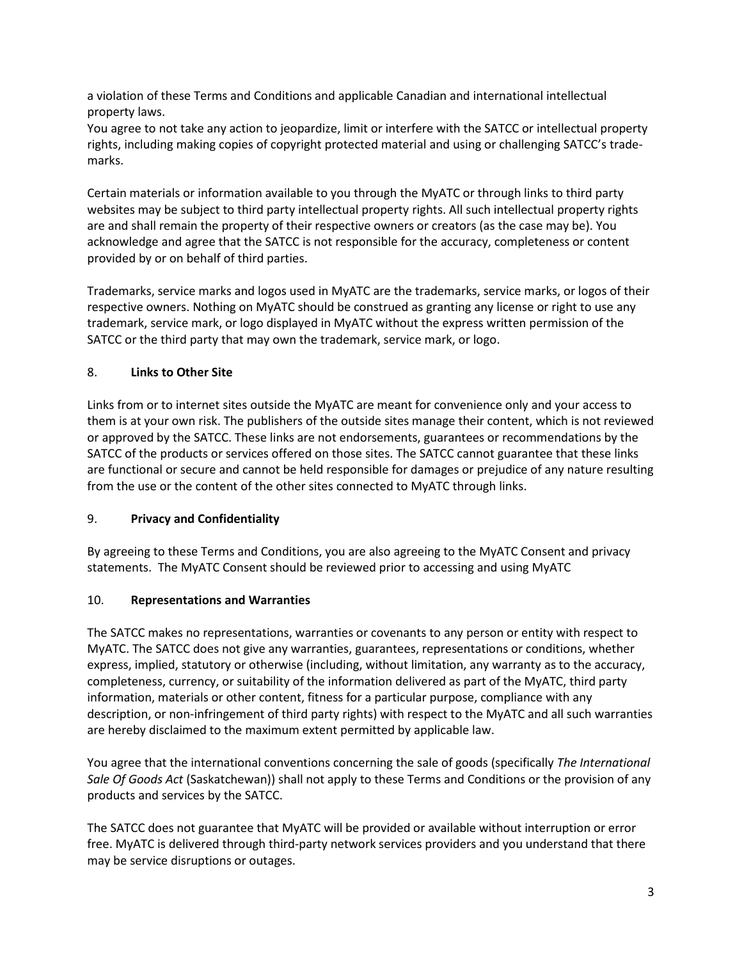a violation of these Terms and Conditions and applicable Canadian and international intellectual property laws.

You agree to not take any action to jeopardize, limit or interfere with the SATCC or intellectual property rights, including making copies of copyright protected material and using or challenging SATCC's trademarks.

Certain materials or information available to you through the MyATC or through links to third party websites may be subject to third party intellectual property rights. All such intellectual property rights are and shall remain the property of their respective owners or creators (as the case may be). You acknowledge and agree that the SATCC is not responsible for the accuracy, completeness or content provided by or on behalf of third parties.

Trademarks, service marks and logos used in MyATC are the trademarks, service marks, or logos of their respective owners. Nothing on MyATC should be construed as granting any license or right to use any trademark, service mark, or logo displayed in MyATC without the express written permission of the SATCC or the third party that may own the trademark, service mark, or logo.

## 8. **Links to Other Site**

Links from or to internet sites outside the MyATC are meant for convenience only and your access to them is at your own risk. The publishers of the outside sites manage their content, which is not reviewed or approved by the SATCC. These links are not endorsements, guarantees or recommendations by the SATCC of the products or services offered on those sites. The SATCC cannot guarantee that these links are functional or secure and cannot be held responsible for damages or prejudice of any nature resulting from the use or the content of the other sites connected to MyATC through links.

## 9. **Privacy and Confidentiality**

By agreeing to these Terms and Conditions, you are also agreeing to the MyATC Consent and privacy statements. The MyATC Consent should be reviewed prior to accessing and using MyATC

# 10. **Representations and Warranties**

The SATCC makes no representations, warranties or covenants to any person or entity with respect to MyATC. The SATCC does not give any warranties, guarantees, representations or conditions, whether express, implied, statutory or otherwise (including, without limitation, any warranty as to the accuracy, completeness, currency, or suitability of the information delivered as part of the MyATC, third party information, materials or other content, fitness for a particular purpose, compliance with any description, or non-infringement of third party rights) with respect to the MyATC and all such warranties are hereby disclaimed to the maximum extent permitted by applicable law.

You agree that the international conventions concerning the sale of goods (specifically *The International Sale Of Goods Act* (Saskatchewan)) shall not apply to these Terms and Conditions or the provision of any products and services by the SATCC.

The SATCC does not guarantee that MyATC will be provided or available without interruption or error free. MyATC is delivered through third-party network services providers and you understand that there may be service disruptions or outages.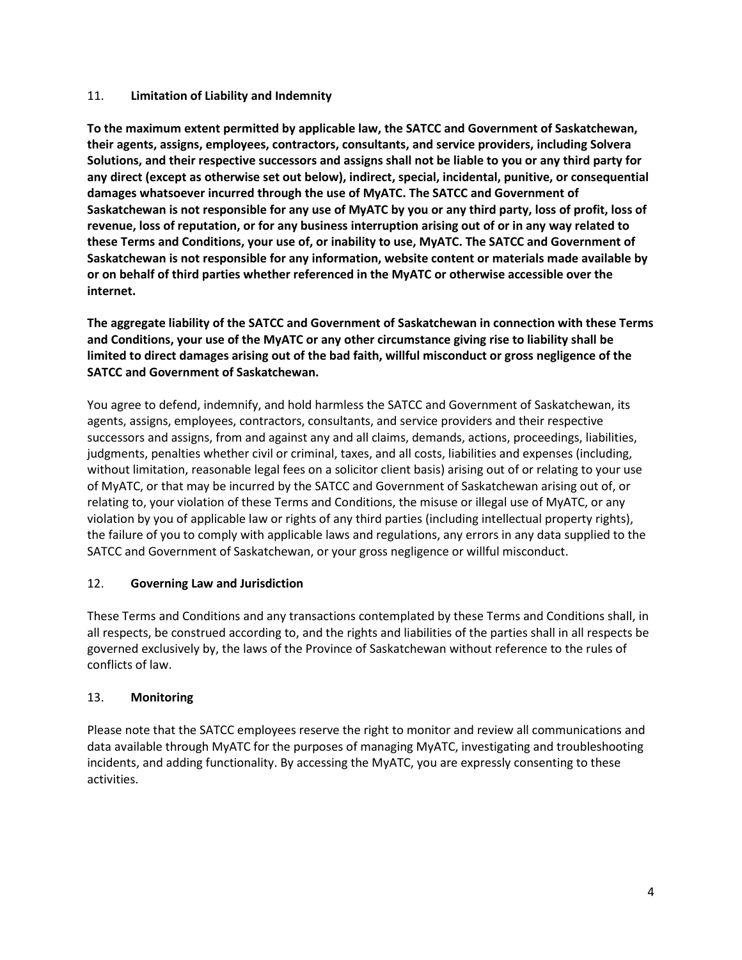### 11. **Limitation of Liability and Indemnity**

**To the maximum extent permitted by applicable law, the SATCC and Government of Saskatchewan, their agents, assigns, employees, contractors, consultants, and service providers, including Solvera Solutions, and their respective successors and assigns shall not be liable to you or any third party for any direct (except as otherwise set out below), indirect, special, incidental, punitive, or consequential damages whatsoever incurred through the use of MyATC. The SATCC and Government of Saskatchewan is not responsible for any use of MyATC by you or any third party, loss of profit, loss of revenue, loss of reputation, or for any business interruption arising out of or in any way related to these Terms and Conditions, your use of, or inability to use, MyATC. The SATCC and Government of Saskatchewan is not responsible for any information, website content or materials made available by or on behalf of third parties whether referenced in the MyATC or otherwise accessible over the internet.**

**The aggregate liability of the SATCC and Government of Saskatchewan in connection with these Terms and Conditions, your use of the MyATC or any other circumstance giving rise to liability shall be limited to direct damages arising out of the bad faith, willful misconduct or gross negligence of the SATCC and Government of Saskatchewan.**

You agree to defend, indemnify, and hold harmless the SATCC and Government of Saskatchewan, its agents, assigns, employees, contractors, consultants, and service providers and their respective successors and assigns, from and against any and all claims, demands, actions, proceedings, liabilities, judgments, penalties whether civil or criminal, taxes, and all costs, liabilities and expenses (including, without limitation, reasonable legal fees on a solicitor client basis) arising out of or relating to your use of MyATC, or that may be incurred by the SATCC and Government of Saskatchewan arising out of, or relating to, your violation of these Terms and Conditions, the misuse or illegal use of MyATC, or any violation by you of applicable law or rights of any third parties (including intellectual property rights), the failure of you to comply with applicable laws and regulations, any errors in any data supplied to the SATCC and Government of Saskatchewan, or your gross negligence or willful misconduct.

## 12. **Governing Law and Jurisdiction**

These Terms and Conditions and any transactions contemplated by these Terms and Conditions shall, in all respects, be construed according to, and the rights and liabilities of the parties shall in all respects be governed exclusively by, the laws of the Province of Saskatchewan without reference to the rules of conflicts of law.

## 13. **Monitoring**

Please note that the SATCC employees reserve the right to monitor and review all communications and data available through MyATC for the purposes of managing MyATC, investigating and troubleshooting incidents, and adding functionality. By accessing the MyATC, you are expressly consenting to these activities.